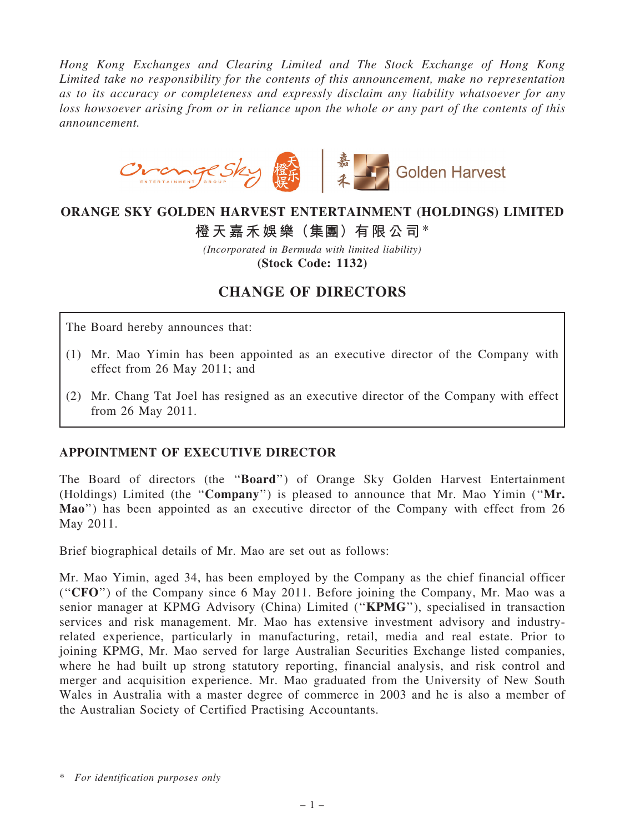Hong Kong Exchanges and Clearing Limited and The Stock Exchange of Hong Kong Limited take no responsibility for the contents of this announcement, make no representation as to its accuracy or completeness and expressly disclaim any liability whatsoever for any loss howsoever arising from or in reliance upon the whole or any part of the contents of this announcement.



### ORANGE SKY GOLDEN HARVEST ENTERTAINMENT (HOLDINGS) LIMITED

# 橙天嘉禾娛樂(集團)有限公司\*

(Incorporated in Bermuda with limited liability) (Stock Code: 1132)

## CHANGE OF DIRECTORS

The Board hereby announces that:

- (1) Mr. Mao Yimin has been appointed as an executive director of the Company with effect from 26 May 2011; and
- (2) Mr. Chang Tat Joel has resigned as an executive director of the Company with effect from 26 May 2011.

#### APPOINTMENT OF EXECUTIVE DIRECTOR

The Board of directors (the ''Board'') of Orange Sky Golden Harvest Entertainment (Holdings) Limited (the ''Company'') is pleased to announce that Mr. Mao Yimin (''Mr. Mao'') has been appointed as an executive director of the Company with effect from 26 May 2011.

Brief biographical details of Mr. Mao are set out as follows:

Mr. Mao Yimin, aged 34, has been employed by the Company as the chief financial officer (''CFO'') of the Company since 6 May 2011. Before joining the Company, Mr. Mao was a senior manager at KPMG Advisory (China) Limited ("KPMG"), specialised in transaction services and risk management. Mr. Mao has extensive investment advisory and industryrelated experience, particularly in manufacturing, retail, media and real estate. Prior to joining KPMG, Mr. Mao served for large Australian Securities Exchange listed companies, where he had built up strong statutory reporting, financial analysis, and risk control and merger and acquisition experience. Mr. Mao graduated from the University of New South Wales in Australia with a master degree of commerce in 2003 and he is also a member of the Australian Society of Certified Practising Accountants.

<sup>\*</sup> For identification purposes only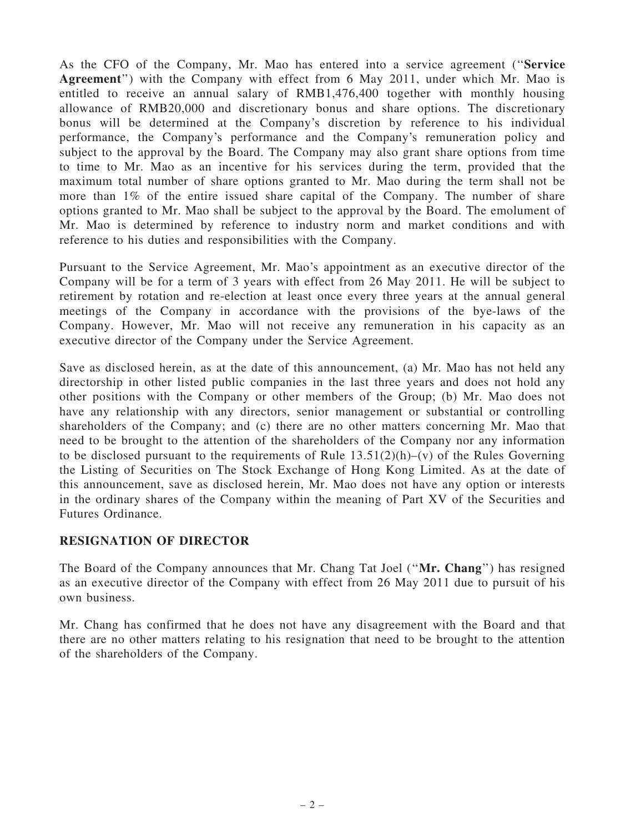As the CFO of the Company, Mr. Mao has entered into a service agreement (''Service Agreement'') with the Company with effect from 6 May 2011, under which Mr. Mao is entitled to receive an annual salary of RMB1,476,400 together with monthly housing allowance of RMB20,000 and discretionary bonus and share options. The discretionary bonus will be determined at the Company's discretion by reference to his individual performance, the Company's performance and the Company's remuneration policy and subject to the approval by the Board. The Company may also grant share options from time to time to Mr. Mao as an incentive for his services during the term, provided that the maximum total number of share options granted to Mr. Mao during the term shall not be more than 1% of the entire issued share capital of the Company. The number of share options granted to Mr. Mao shall be subject to the approval by the Board. The emolument of Mr. Mao is determined by reference to industry norm and market conditions and with reference to his duties and responsibilities with the Company.

Pursuant to the Service Agreement, Mr. Mao's appointment as an executive director of the Company will be for a term of 3 years with effect from 26 May 2011. He will be subject to retirement by rotation and re-election at least once every three years at the annual general meetings of the Company in accordance with the provisions of the bye-laws of the Company. However, Mr. Mao will not receive any remuneration in his capacity as an executive director of the Company under the Service Agreement.

Save as disclosed herein, as at the date of this announcement, (a) Mr. Mao has not held any directorship in other listed public companies in the last three years and does not hold any other positions with the Company or other members of the Group; (b) Mr. Mao does not have any relationship with any directors, senior management or substantial or controlling shareholders of the Company; and (c) there are no other matters concerning Mr. Mao that need to be brought to the attention of the shareholders of the Company nor any information to be disclosed pursuant to the requirements of Rule  $13.51(2)(h)$ –(v) of the Rules Governing the Listing of Securities on The Stock Exchange of Hong Kong Limited. As at the date of this announcement, save as disclosed herein, Mr. Mao does not have any option or interests in the ordinary shares of the Company within the meaning of Part XV of the Securities and Futures Ordinance.

#### RESIGNATION OF DIRECTOR

The Board of the Company announces that Mr. Chang Tat Joel (''Mr. Chang'') has resigned as an executive director of the Company with effect from 26 May 2011 due to pursuit of his own business.

Mr. Chang has confirmed that he does not have any disagreement with the Board and that there are no other matters relating to his resignation that need to be brought to the attention of the shareholders of the Company.